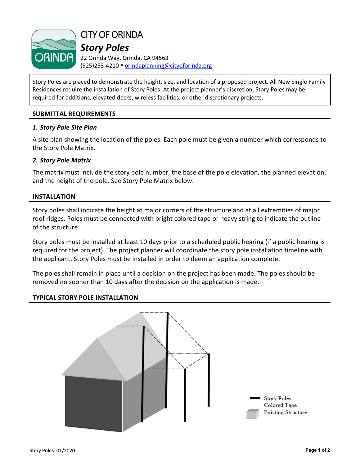

CITY OF ORINDA

# *Story Poles*

22 Orinda Way, Orinda, CA 94563 (925)253-4210 **·** [orindaplanning@cityoforinda.org](mailto:orindaplanning@cityoforinda.org)

Story Poles are placed to demonstrate the height, size, and location of a proposed project. All New Single Family Residences require the installation of Story Poles. At the project planner's discretion, Story Poles may be required for additions, elevated decks, wireless facilities, or other discretionary projects.

### **SUBMITTAL REQUIREMENTS**

#### *1. Story Pole Site Plan*

A site plan showing the location of the poles. Each pole must be given a number which corresponds to the Story Pole Matrix.

#### *2. Story Pole Matrix*

The matrix must include the story pole number, the base of the pole elevation, the planned elevation, and the height of the pole. See Story Pole Matrix below.

#### **INSTALLATION**

Story poles shall indicate the height at major corners of the structure and at all extremities of major roof ridges. Poles must be connected with bright colored tape or heavy string to indicate the outline of the structure.

Story poles must be installed at least 10 days prior to a scheduled public hearing (if a public hearing is required for the project). The project planner will coordinate the story pole installation timeline with the applicant. Story Poles must be installed in order to deem an application complete.

The poles shall remain in place until a decision on the project has been made. The poles should be removed no sooner than 10 days after the decision on the application is made.

#### **TYPICAL STORY POLE INSTALLATION**